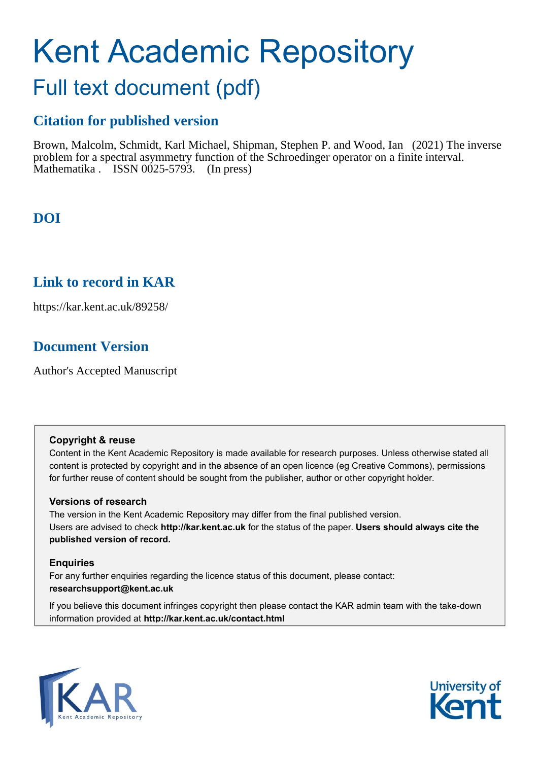# Kent Academic Repository

# Full text document (pdf)

# **Citation for published version**

Brown, Malcolm, Schmidt, Karl Michael, Shipman, Stephen P. and Wood, Ian (2021) The inverse problem for a spectral asymmetry function of the Schroedinger operator on a finite interval. Mathematika  $\overline{\phantom{a}}$  ISSN 0025-5793. (In press)

# **DOI**

### **Link to record in KAR**

https://kar.kent.ac.uk/89258/

# **Document Version**

Author's Accepted Manuscript

#### **Copyright & reuse**

Content in the Kent Academic Repository is made available for research purposes. Unless otherwise stated all content is protected by copyright and in the absence of an open licence (eg Creative Commons), permissions for further reuse of content should be sought from the publisher, author or other copyright holder.

#### **Versions of research**

The version in the Kent Academic Repository may differ from the final published version. Users are advised to check **http://kar.kent.ac.uk** for the status of the paper. **Users should always cite the published version of record.**

#### **Enquiries**

For any further enquiries regarding the licence status of this document, please contact: **researchsupport@kent.ac.uk**

If you believe this document infringes copyright then please contact the KAR admin team with the take-down information provided at **http://kar.kent.ac.uk/contact.html**



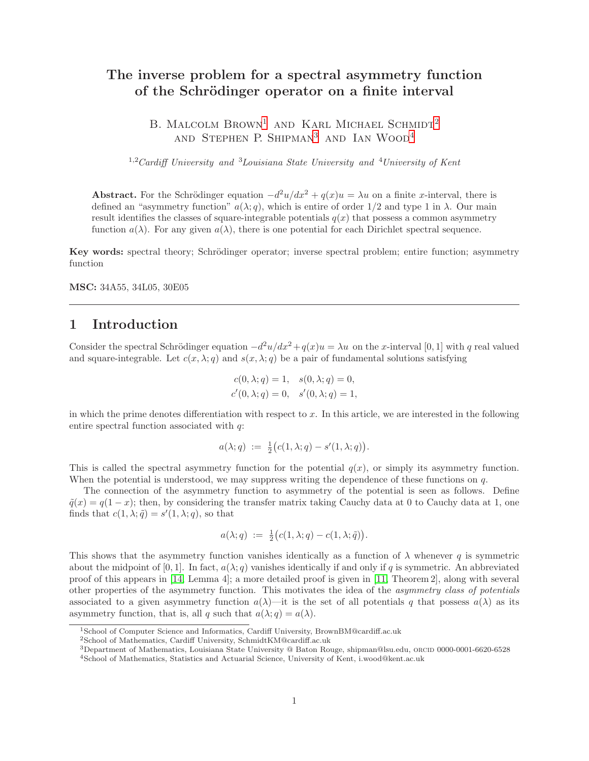#### The inverse problem for a spectral asymmetry function of the Schrödinger operator on a finite interval

B. MALCOLM  $Brown<sup>1</sup>$  and Karl Michael Schmidt<sup>2</sup> and Stephen P. Shipman<sup>3</sup> and Ian Wood<sup>4</sup>

 $1.2$ Cardiff University and  $3$ Louisiana State University and  $4$ University of Kent

Abstract. For the Schrödinger equation  $-d^2u/dx^2 + q(x)u = \lambda u$  on a finite x-interval, there is defined an "asymmetry function"  $a(\lambda; q)$ , which is entire of order 1/2 and type 1 in  $\lambda$ . Our main result identifies the classes of square-integrable potentials  $q(x)$  that possess a common asymmetry function  $a(\lambda)$ . For any given  $a(\lambda)$ , there is one potential for each Dirichlet spectral sequence.

Key words: spectral theory; Schrödinger operator; inverse spectral problem; entire function; asymmetry function

MSC: 34A55, 34L05, 30E05

#### 1 Introduction

Consider the spectral Schrödinger equation  $-d^2u/dx^2 + q(x)u = \lambda u$  on the x-interval [0, 1] with q real valued and square-integrable. Let  $c(x, \lambda; q)$  and  $s(x, \lambda; q)$  be a pair of fundamental solutions satisfying

$$
c(0, \lambda; q) = 1, \quad s(0, \lambda; q) = 0, c'(0, \lambda; q) = 0, \quad s'(0, \lambda; q) = 1,
$$

in which the prime denotes differentiation with respect to  $x$ . In this article, we are interested in the following entire spectral function associated with q:

$$
a(\lambda;q) := \frac{1}{2}(c(1,\lambda;q) - s'(1,\lambda;q)).
$$

This is called the spectral asymmetry function for the potential  $q(x)$ , or simply its asymmetry function. When the potential is understood, we may suppress writing the dependence of these functions on  $q$ .

The connection of the asymmetry function to asymmetry of the potential is seen as follows. Define  $\tilde{q}(x) = q(1-x)$ ; then, by considering the transfer matrix taking Cauchy data at 0 to Cauchy data at 1, one finds that  $c(1, \lambda; \tilde{q}) = s'(1, \lambda; q)$ , so that

$$
a(\lambda;q) := \frac{1}{2} (c(1,\lambda;q) - c(1,\lambda;\tilde{q})).
$$

This shows that the asymmetry function vanishes identically as a function of  $\lambda$  whenever q is symmetric about the midpoint of [0, 1]. In fact,  $a(\lambda; q)$  vanishes identically if and only if q is symmetric. An abbreviated proof of this appears in [14, Lemma 4]; a more detailed proof is given in [11, Theorem 2], along with several other properties of the asymmetry function. This motivates the idea of the asymmetry class of potentials associated to a given asymmetry function  $a(\lambda)$ —it is the set of all potentials q that possess  $a(\lambda)$  as its asymmetry function, that is, all q such that  $a(\lambda; q) = a(\lambda)$ .

<sup>1</sup>School of Computer Science and Informatics, Cardiff University, BrownBM@cardiff.ac.uk

<sup>2</sup>School of Mathematics, Cardiff University, SchmidtKM@cardiff.ac.uk

 $3$ Department of Mathematics, Louisiana State University @ Baton Rouge, shipman@lsu.edu, ORCID 0000-0001-6620-6528 <sup>4</sup>School of Mathematics, Statistics and Actuarial Science, University of Kent, i.wood@kent.ac.uk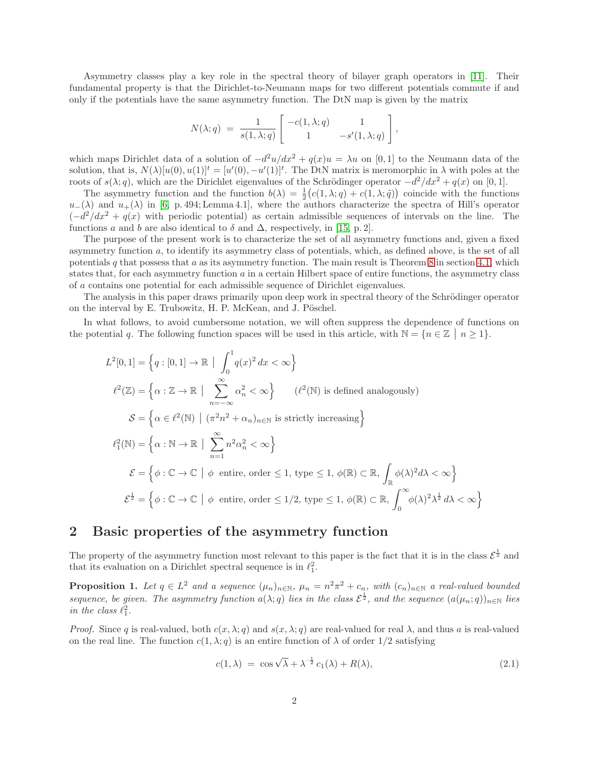Asymmetry classes play a key role in the spectral theory of bilayer graph operators in [11]. Their fundamental property is that the Dirichlet-to-Neumann maps for two different potentials commute if and only if the potentials have the same asymmetry function. The DtN map is given by the matrix

$$
N(\lambda;q) = \frac{1}{s(1,\lambda;q)} \begin{bmatrix} -c(1,\lambda;q) & 1\\ 1 & -s'(1,\lambda;q) \end{bmatrix},
$$

which maps Dirichlet data of a solution of  $-d^2u/dx^2 + q(x)u = \lambda u$  on [0,1] to the Neumann data of the solution, that is,  $N(\lambda)[u(0), u(1)]^t = [u'(0), -u'(1)]^t$ . The DtN matrix is meromorphic in  $\lambda$  with poles at the roots of  $s(\lambda; q)$ , which are the Dirichlet eigenvalues of the Schrödinger operator  $-d^2/dx^2 + q(x)$  on [0, 1].

The asymmetry function and the function  $b(\lambda) = \frac{1}{2} (c(1, \lambda; q) + c(1, \lambda; \tilde{q}))$  coincide with the functions  $u_-(\lambda)$  and  $u_+(\lambda)$  in [6, p. 494; Lemma 4.1], where the authors characterize the spectra of Hill's operator  $(-d^2/dx^2 + q(x))$  with periodic potential) as certain admissible sequences of intervals on the line. The functions a and b are also identical to  $\delta$  and  $\Delta$ , respectively, in [15, p. 2].

The purpose of the present work is to characterize the set of all asymmetry functions and, given a fixed asymmetry function a, to identify its asymmetry class of potentials, which, as defined above, is the set of all potentials q that possess that  $a$  as its asymmetry function. The main result is Theorem 8 in section 4.1, which states that, for each asymmetry function  $a$  in a certain Hilbert space of entire functions, the asymmetry class of a contains one potential for each admissible sequence of Dirichlet eigenvalues.

The analysis in this paper draws primarily upon deep work in spectral theory of the Schrödinger operator on the interval by E. Trubowitz, H. P. McKean, and J. Pöschel.

In what follows, to avoid cumbersome notation, we will often suppress the dependence of functions on the potential q. The following function spaces will be used in this article, with  $\mathbb{N} = \{n \in \mathbb{Z} \mid n \geq 1\}$ .

$$
L^{2}[0,1] = \left\{ q : [0,1] \to \mathbb{R} \mid \int_{0}^{1} q(x)^{2} dx < \infty \right\}
$$
  

$$
\ell^{2}(\mathbb{Z}) = \left\{ \alpha : \mathbb{Z} \to \mathbb{R} \mid \sum_{n=-\infty}^{\infty} \alpha_{n}^{2} < \infty \right\} \qquad (\ell^{2}(\mathbb{N}) \text{ is defined analogously})
$$
  

$$
\mathcal{S} = \left\{ \alpha \in \ell^{2}(\mathbb{N}) \mid (\pi^{2}n^{2} + \alpha_{n})_{n \in \mathbb{N}} \text{ is strictly increasing} \right\}
$$
  

$$
\ell_{1}^{2}(\mathbb{N}) = \left\{ \alpha : \mathbb{N} \to \mathbb{R} \mid \sum_{n=1}^{\infty} n^{2} \alpha_{n}^{2} < \infty \right\}
$$
  

$$
\mathcal{E} = \left\{ \phi : \mathbb{C} \to \mathbb{C} \mid \phi \text{ entire, order } \le 1, \text{ type } \le 1, \phi(\mathbb{R}) \subset \mathbb{R}, \int_{\mathbb{R}} \phi(\lambda)^{2} d\lambda < \infty \right\}
$$
  

$$
\mathcal{E}^{\frac{1}{2}} = \left\{ \phi : \mathbb{C} \to \mathbb{C} \mid \phi \text{ entire, order } \le 1/2, \text{ type } \le 1, \phi(\mathbb{R}) \subset \mathbb{R}, \int_{0}^{\infty} \phi(\lambda)^{2} \lambda^{\frac{1}{2}} d\lambda < \infty \right\}
$$

#### 2 Basic properties of the asymmetry function

The property of the asymmetry function most relevant to this paper is the fact that it is in the class  $\mathcal{E}^{\frac{1}{2}}$  and that its evaluation on a Dirichlet spectral sequence is in  $\ell_1^2$ .

**Proposition 1.** Let  $q \in L^2$  and a sequence  $(\mu_n)_{n \in \mathbb{N}}$ ,  $\mu_n = n^2 \pi^2 + c_n$ , with  $(c_n)_{n \in \mathbb{N}}$  a real-valued bounded sequence, be given. The asymmetry function  $a(\lambda;q)$  lies in the class  $\mathcal{E}^{\frac{1}{2}}$ , and the sequence  $(a(\mu_n;q))_{n\in\mathbb{N}}$  lies in the class  $\ell_1^2$ .

*Proof.* Since q is real-valued, both  $c(x, \lambda; q)$  and  $s(x, \lambda; q)$  are real-valued for real  $\lambda$ , and thus a is real-valued on the real line. The function  $c(1, \lambda; q)$  is an entire function of  $\lambda$  of order 1/2 satisfying

$$
c(1,\lambda) = \cos\sqrt{\lambda} + \lambda^{-\frac{1}{2}} c_1(\lambda) + R(\lambda), \qquad (2.1)
$$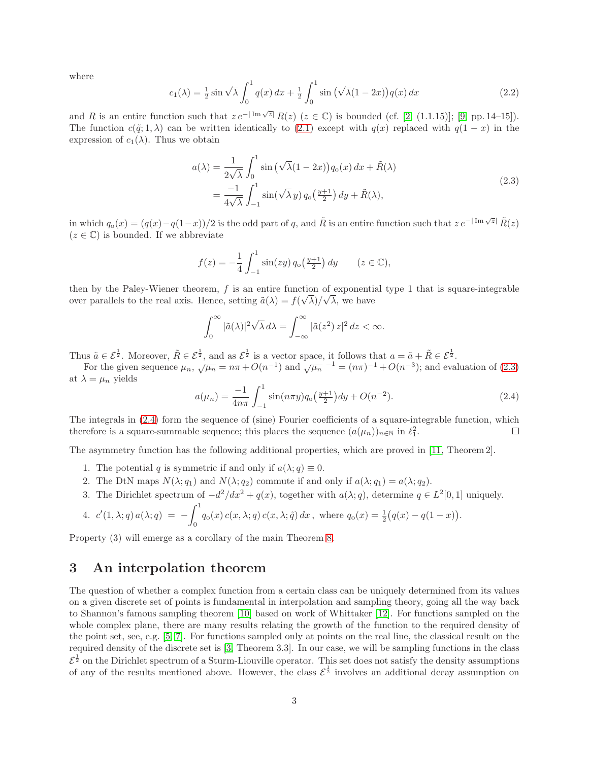where

$$
c_1(\lambda) = \frac{1}{2}\sin\sqrt{\lambda} \int_0^1 q(x) \, dx + \frac{1}{2} \int_0^1 \sin\left(\sqrt{\lambda}(1-2x)\right) q(x) \, dx \tag{2.2}
$$

and R is an entire function such that  $ze^{-|\operatorname{Im}\sqrt{z}|}R(z)$   $(z \in \mathbb{C})$  is bounded (cf. [2, (1.1.15)]; [9, pp. 14–15]). The function  $c(\tilde{q}; 1, \lambda)$  can be written identically to (2.1) except with  $q(x)$  replaced with  $q(1-x)$  in the expression of  $c_1(\lambda)$ . Thus we obtain

$$
a(\lambda) = \frac{1}{2\sqrt{\lambda}} \int_0^1 \sin\left(\sqrt{\lambda}(1-2x)\right) q_o(x) dx + \tilde{R}(\lambda)
$$
  
= 
$$
\frac{-1}{4\sqrt{\lambda}} \int_{-1}^1 \sin(\sqrt{\lambda}y) q_o\left(\frac{y+1}{2}\right) dy + \tilde{R}(\lambda),
$$
 (2.3)

in which  $q_o(x) = (q(x) - q(1-x))/2$  is the odd part of q, and  $\tilde{R}$  is an entire function such that  $z e^{-|\operatorname{Im} \sqrt{z}|} \tilde{R}(z)$  $(z \in \mathbb{C})$  is bounded. If we abbreviate

$$
f(z) = -\frac{1}{4} \int_{-1}^{1} \sin(zy) \, q_o\left(\frac{y+1}{2}\right) \, dy \qquad (z \in \mathbb{C}),
$$

then by the Paley-Wiener theorem, f is an entire function of exponential type 1 that is square-integrable over parallels to the real axis. Hence, setting  $\tilde{a}(\lambda) = f(\sqrt{\lambda})/\sqrt{\lambda}$ , we have

$$
\int_0^\infty |\tilde{a}(\lambda)|^2 \sqrt{\lambda} \, d\lambda = \int_{-\infty}^\infty |\tilde{a}(z^2) \, z|^2 \, dz < \infty.
$$

Thus  $\tilde{a} \in \mathcal{E}^{\frac{1}{2}}$ . Moreover,  $\tilde{R} \in \mathcal{E}^{\frac{1}{2}}$ , and as  $\mathcal{E}^{\frac{1}{2}}$  is a vector space, it follows that  $a = \tilde{a} + \tilde{R} \in \mathcal{E}^{\frac{1}{2}}$ .

For the given sequence  $\mu_n$ ,  $\sqrt{\mu_n} = n\pi + O(n^{-1})$  and  $\sqrt{\mu_n}^{-1} = (n\pi)^{-1} + O(n^{-3})$ ; and evaluation of (2.3) at  $\lambda = \mu_n$  yields

$$
a(\mu_n) = \frac{-1}{4n\pi} \int_{-1}^{1} \sin(n\pi y) q_0\left(\frac{y+1}{2}\right) dy + O(n^{-2}).
$$
\n(2.4)

The integrals in (2.4) form the sequence of (sine) Fourier coefficients of a square-integrable function, which therefore is a square-summable sequence; this places the sequence  $(a(\mu_n))_{n\in\mathbb{N}}$  in  $\ell_1^2$ .  $\Box$ 

The asymmetry function has the following additional properties, which are proved in [11, Theorem 2].

- 1. The potential q is symmetric if and only if  $a(\lambda; q) \equiv 0$ .
- 2. The DtN maps  $N(\lambda; q_1)$  and  $N(\lambda; q_2)$  commute if and only if  $a(\lambda; q_1) = a(\lambda; q_2)$ .
- 3. The Dirichlet spectrum of  $-d^2/dx^2 + q(x)$ , together with  $a(\lambda; q)$ , determine  $q \in L^2[0, 1]$  uniquely.

4. 
$$
c'(1, \lambda; q) a(\lambda; q) = -\int_0^1 q_o(x) c(x, \lambda; q) c(x, \lambda; \tilde{q}) dx
$$
, where  $q_o(x) = \frac{1}{2}(q(x) - q(1-x))$ .

Property (3) will emerge as a corollary of the main Theorem 8.

#### 3 An interpolation theorem

The question of whether a complex function from a certain class can be uniquely determined from its values on a given discrete set of points is fundamental in interpolation and sampling theory, going all the way back to Shannon's famous sampling theorem [10] based on work of Whittaker [12]. For functions sampled on the whole complex plane, there are many results relating the growth of the function to the required density of the point set, see, e.g. [5, 7]. For functions sampled only at points on the real line, the classical result on the required density of the discrete set is [3, Theorem 3.3]. In our case, we will be sampling functions in the class  $\mathcal{E}^{\frac{1}{2}}$  on the Dirichlet spectrum of a Sturm-Liouville operator. This set does not satisfy the density assumptions of any of the results mentioned above. However, the class  $\mathcal{E}^{\frac{1}{2}}$  involves an additional decay assumption on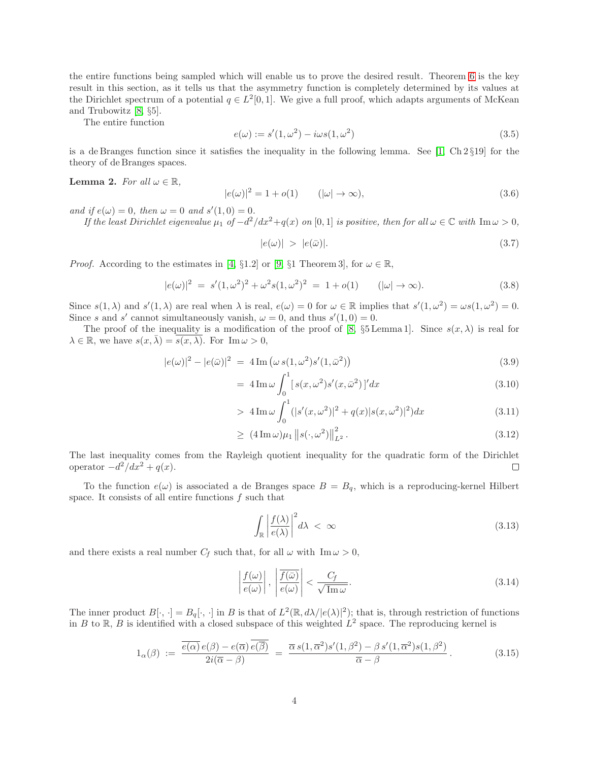the entire functions being sampled which will enable us to prove the desired result. Theorem 6 is the key result in this section, as it tells us that the asymmetry function is completely determined by its values at the Dirichlet spectrum of a potential  $q \in L^2[0,1]$ . We give a full proof, which adapts arguments of McKean and Trubowitz [8, §5].

The entire function

$$
e(\omega) := s'(1, \omega^2) - i\omega s(1, \omega^2)
$$
\n(3.5)

is a de Branges function since it satisfies the inequality in the following lemma. See  $[1, Ch 2 \S 19]$  for the theory of de Branges spaces.

**Lemma 2.** For all  $\omega \in \mathbb{R}$ ,

$$
|e(\omega)|^2 = 1 + o(1) \qquad (|\omega| \to \infty), \tag{3.6}
$$

and if  $e(\omega) = 0$ , then  $\omega = 0$  and  $s'(1,0) = 0$ .

If the least Dirichlet eigenvalue  $\mu_1$  of  $-d^2/dx^2+q(x)$  on [0, 1] is positive, then for all  $\omega \in \mathbb{C}$  with  $\text{Im}\,\omega > 0$ ,

$$
|e(\omega)| > |e(\bar{\omega})|.
$$
 (3.7)

*Proof.* According to the estimates in [4, §1.2] or [9, §1 Theorem 3], for  $\omega \in \mathbb{R}$ ,

$$
|e(\omega)|^2 = s'(1,\omega^2)^2 + \omega^2 s(1,\omega^2)^2 = 1 + o(1) \qquad (|\omega| \to \infty).
$$
 (3.8)

Since  $s(1, \lambda)$  and  $s'(1, \lambda)$  are real when  $\lambda$  is real,  $e(\omega) = 0$  for  $\omega \in \mathbb{R}$  implies that  $s'(1, \omega^2) = \omega s(1, \omega^2) = 0$ . Since s and s' cannot simultaneously vanish,  $\omega = 0$ , and thus  $s'(1,0) = 0$ .

The proof of the inequality is a modification of the proof of [8,  $\S5$  Lemma 1]. Since  $s(x, \lambda)$  is real for  $\lambda \in \mathbb{R}$ , we have  $s(x, \overline{\lambda}) = s(x, \lambda)$ . For Im  $\omega > 0$ ,

$$
|e(\omega)|^2 - |e(\bar{\omega})|^2 = 4 \operatorname{Im} (\omega s(1, \omega^2) s'(1, \bar{\omega}^2))
$$
\n(3.9)

$$
= 4 \operatorname{Im} \omega \int_0^1 [s(x, \omega^2)s'(x, \bar{\omega}^2)]' dx \tag{3.10}
$$

> 
$$
4 \operatorname{Im} \omega \int_0^1 (|s'(x,\omega^2)|^2 + q(x)|s(x,\omega^2)|^2) dx
$$
 (3.11)

$$
\geq (4 \operatorname{Im} \omega) \mu_1 \| s(\cdot, \omega^2) \|_{L^2}^2. \tag{3.12}
$$

The last inequality comes from the Rayleigh quotient inequality for the quadratic form of the Dirichlet operator  $-d^2/dx^2 + q(x)$ .  $\Box$ 

To the function  $e(\omega)$  is associated a de Branges space  $B = B_q$ , which is a reproducing-kernel Hilbert space. It consists of all entire functions  $f$  such that

$$
\int_{\mathbb{R}} \left| \frac{f(\lambda)}{e(\lambda)} \right|^2 d\lambda < \infty \tag{3.13}
$$

and there exists a real number  $C_f$  such that, for all  $\omega$  with  $\text{Im }\omega > 0$ ,

$$
\left|\frac{f(\omega)}{e(\omega)}\right|, \left|\frac{\overline{f(\bar{\omega})}}{e(\omega)}\right| < \frac{C_f}{\sqrt{\text{Im}\,\omega}}.\tag{3.14}
$$

The inner product  $B[\cdot, \cdot] = B_q[\cdot, \cdot]$  in B is that of  $L^2(\mathbb{R}, d\lambda/|e(\lambda)|^2)$ ; that is, through restriction of functions in B to R, B is identified with a closed subspace of this weighted  $L^2$  space. The reproducing kernel is

$$
1_{\alpha}(\beta) := \frac{\overline{e(\alpha)} e(\beta) - e(\overline{\alpha}) \overline{e(\overline{\beta})}}{2i(\overline{\alpha} - \beta)} = \frac{\overline{\alpha} s(1, \overline{\alpha}^2) s'(1, \beta^2) - \beta s'(1, \overline{\alpha}^2) s(1, \beta^2)}{\overline{\alpha} - \beta}.
$$
 (3.15)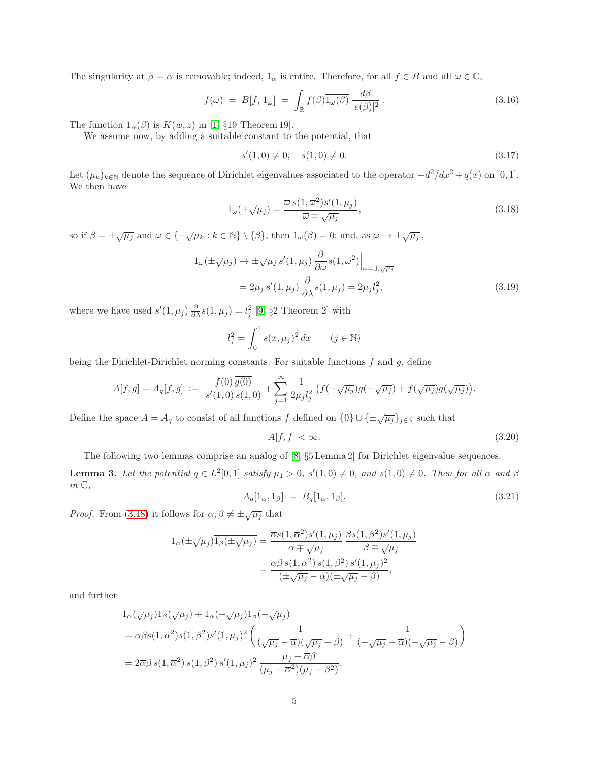The singularity at  $\beta = \bar{\alpha}$  is removable; indeed,  $1_{\alpha}$  is entire. Therefore, for all  $f \in B$  and all  $\omega \in \mathbb{C}$ ,

$$
f(\omega) = B[f, 1_{\omega}] = \int_{\mathbb{R}} f(\beta) \overline{1_{\omega}(\beta)} \frac{d\beta}{|e(\beta)|^2}.
$$
 (3.16)

The function  $1_{\alpha}(\beta)$  is  $K(w, z)$  in [1, §19 Theorem 19].

We assume now, by adding a suitable constant to the potential, that

$$
s'(1,0) \neq 0, \quad s(1,0) \neq 0. \tag{3.17}
$$

Let  $(\mu_k)_{k \in \mathbb{N}}$  denote the sequence of Dirichlet eigenvalues associated to the operator  $-d^2/dx^2 + q(x)$  on [0, 1]. We then have

$$
1_{\omega}(\pm\sqrt{\mu_j}) = \frac{\overline{\omega} s(1, \overline{\omega}^2)s'(1, \mu_j)}{\overline{\omega} \mp \sqrt{\mu_j}},
$$
\n(3.18)

so if  $\beta = \pm \sqrt{\mu_j}$  and  $\omega \in {\pm \sqrt{\mu_k} : k \in \mathbb{N}} \setminus {\beta}$ , then  $1_{\omega}(\beta) = 0$ ; and, as  $\overline{\omega} \to \pm \sqrt{\mu_j}$ ,

$$
1_{\omega}(\pm\sqrt{\mu_j}) \to \pm\sqrt{\mu_j} s'(1,\mu_j) \frac{\partial}{\partial \omega} s(1,\omega^2) \Big|_{\omega=\pm\sqrt{\mu_j}} = 2\mu_j s'(1,\mu_j) \frac{\partial}{\partial \lambda} s(1,\mu_j) = 2\mu_j l_j^2,
$$
(3.19)

where we have used  $s'(1, \mu_j) \frac{\partial}{\partial \lambda} s(1, \mu_j) = l_j^2$  [9, §2 Theorem 2] with

$$
l_j^2 = \int_0^1 s(x, \mu_j)^2 dx \qquad (j \in \mathbb{N})
$$

being the Dirichlet-Dirichlet norming constants. For suitable functions  $f$  and  $g$ , define

$$
A[f,g] = A_q[f,g] := \frac{f(0)\,\overline{g(0)}}{s'(1,0)\,s(1,0)} + \sum_{j=1}^{\infty} \frac{1}{2\mu_j l_j^2} \left( f(-\sqrt{\mu_j})\overline{g(-\sqrt{\mu_j})} + f(\sqrt{\mu_j})\overline{g(\sqrt{\mu_j})} \right).
$$

Define the space  $A = A_q$  to consist of all functions f defined on  $\{0\} \cup {\{\pm \sqrt{\mu_j}\}}_{j \in \mathbb{N}}$  such that

$$
A[f, f] < \infty. \tag{3.20}
$$

The following two lemmas comprise an analog of [8, §5 Lemma 2] for Dirichlet eigenvalue sequences.

**Lemma 3.** Let the potential  $q \in L^2[0,1]$  satisfy  $\mu_1 > 0$ ,  $s'(1,0) \neq 0$ , and  $s(1,0) \neq 0$ . Then for all  $\alpha$  and  $\beta$ in  $\mathbb{C},$ 

$$
A_q[1_\alpha, 1_\beta] = B_q[1_\alpha, 1_\beta]. \tag{3.21}
$$

*Proof.* From (3.18) it follows for  $\alpha, \beta \neq \pm \sqrt{\mu_j}$  that

$$
1_{\alpha}(\pm\sqrt{\mu_j})\overline{1_{\beta}(\pm\sqrt{\mu_j})} = \frac{\overline{\alpha}s(1,\overline{\alpha}^2)s'(1,\mu_j)}{\overline{\alpha}\mp\sqrt{\mu_j}}\frac{\beta s(1,\beta^2)s'(1,\mu_j)}{\beta\mp\sqrt{\mu_j}} = \frac{\overline{\alpha}\beta s(1,\overline{\alpha}^2)s(1,\beta^2)s'(1,\mu_j)^2}{(\pm\sqrt{\mu_j}-\overline{\alpha})(\pm\sqrt{\mu_j}-\beta)},
$$

and further

$$
1_{\alpha}(\sqrt{\mu_{j}})\overline{1_{\beta}(\sqrt{\mu_{j}})} + 1_{\alpha}(-\sqrt{\mu_{j}})\overline{1_{\beta}(-\sqrt{\mu_{j}})}
$$
  
=  $\overline{\alpha}\beta s(1, \overline{\alpha}^{2})s(1, \beta^{2})s'(1, \mu_{j})^{2}\left(\frac{1}{(\sqrt{\mu_{j}} - \overline{\alpha})(\sqrt{\mu_{j}} - \beta)} + \frac{1}{(-\sqrt{\mu_{j}} - \overline{\alpha})(-\sqrt{\mu_{j}} - \beta)}\right)$   
=  $2\overline{\alpha}\beta s(1, \overline{\alpha}^{2})s(1, \beta^{2})s'(1, \mu_{j})^{2}\frac{\mu_{j} + \overline{\alpha}\beta}{(\mu_{j} - \overline{\alpha}^{2})(\mu_{j} - \beta^{2})}.$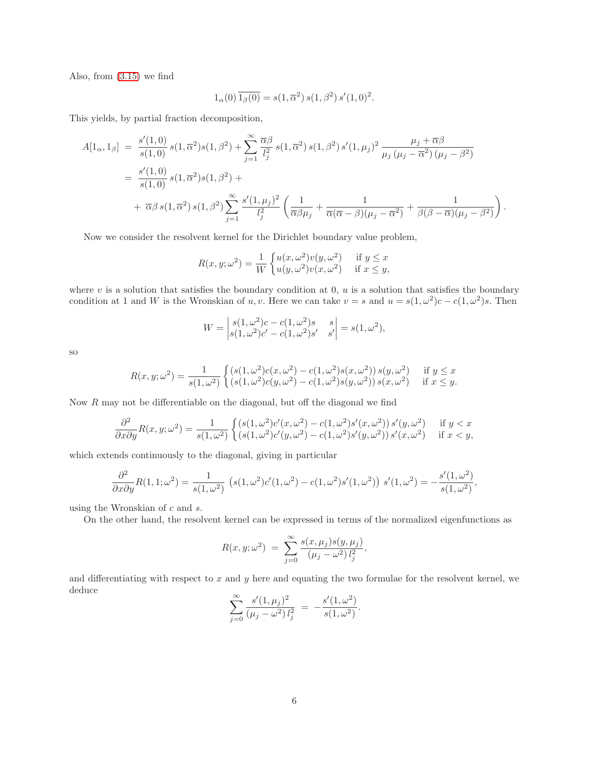Also, from (3.15) we find

$$
1_{\alpha}(0)\overline{1_{\beta}(0)} = s(1,\overline{\alpha}^{2}) s(1,\beta^{2}) s'(1,0)^{2}.
$$

This yields, by partial fraction decomposition,

$$
A[1_{\alpha}, 1_{\beta}] = \frac{s'(1,0)}{s(1,0)} s(1, \overline{\alpha}^{2}) s(1, \beta^{2}) + \sum_{j=1}^{\infty} \frac{\overline{\alpha}\beta}{l_{j}^{2}} s(1, \overline{\alpha}^{2}) s(1, \beta^{2}) s'(1, \mu_{j})^{2} \frac{\mu_{j} + \overline{\alpha}\beta}{\mu_{j} (\mu_{j} - \overline{\alpha}^{2}) (\mu_{j} - \beta^{2})}
$$
  
=  $\frac{s'(1,0)}{s(1,0)} s(1, \overline{\alpha}^{2}) s(1, \beta^{2}) +$   
+  $\overline{\alpha}\beta s(1, \overline{\alpha}^{2}) s(1, \beta^{2}) \sum_{j=1}^{\infty} \frac{s'(1, \mu_{j})^{2}}{l_{j}^{2}} \left(\frac{1}{\overline{\alpha}\beta\mu_{j}} + \frac{1}{\overline{\alpha}(\overline{\alpha} - \beta)(\mu_{j} - \overline{\alpha}^{2})} + \frac{1}{\beta(\beta - \overline{\alpha})(\mu_{j} - \beta^{2})}\right).$ 

Now we consider the resolvent kernel for the Dirichlet boundary value problem,

$$
R(x, y; \omega^2) = \frac{1}{W} \begin{cases} u(x, \omega^2)v(y, \omega^2) & \text{if } y \le x \\ u(y, \omega^2)v(x, \omega^2) & \text{if } x \le y, \end{cases}
$$

where  $v$  is a solution that satisfies the boundary condition at  $0, u$  is a solution that satisfies the boundary condition at 1 and W is the Wronskian of u, v. Here we can take  $v = s$  and  $u = s(1, \omega^2)c - c(1, \omega^2)s$ . Then

$$
W = \begin{vmatrix} s(1, \omega^2)c - c(1, \omega^2)s & s \\ s(1, \omega^2)c' - c(1, \omega^2)s' & s' \end{vmatrix} = s(1, \omega^2),
$$

so

$$
R(x, y; \omega^2) = \frac{1}{s(1, \omega^2)} \begin{cases} \left( s(1, \omega^2)c(x, \omega^2) - c(1, \omega^2)s(x, \omega^2) \right) s(y, \omega^2) & \text{if } y \le x \\ \left( s(1, \omega^2)c(y, \omega^2) - c(1, \omega^2)s(y, \omega^2) \right) s(x, \omega^2) & \text{if } x \le y. \end{cases}
$$

Now  $R$  may not be differentiable on the diagonal, but off the diagonal we find

$$
\frac{\partial^2}{\partial x \partial y} R(x, y; \omega^2) = \frac{1}{s(1, \omega^2)} \begin{cases} \left( s(1, \omega^2)c'(x, \omega^2) - c(1, \omega^2)s'(x, \omega^2) \right) s'(y, \omega^2) & \text{if } y < x \\ \left( s(1, \omega^2)c'(y, \omega^2) - c(1, \omega^2)s'(y, \omega^2) \right) s'(x, \omega^2) & \text{if } x < y, \end{cases}
$$

which extends continuously to the diagonal, giving in particular

$$
\frac{\partial^2}{\partial x \partial y} R(1,1;\omega^2) = \frac{1}{s(1,\omega^2)} \left( s(1,\omega^2)c'(1,\omega^2) - c(1,\omega^2)s'(1,\omega^2) \right) s'(1,\omega^2) = -\frac{s'(1,\omega^2)}{s(1,\omega^2)},
$$

using the Wronskian of c and s.

On the other hand, the resolvent kernel can be expressed in terms of the normalized eigenfunctions as

$$
R(x, y; \omega^2) = \sum_{j=0}^{\infty} \frac{s(x, \mu_j) s(y, \mu_j)}{(\mu_j - \omega^2) l_j^2},
$$

and differentiating with respect to x and y here and equating the two formulae for the resolvent kernel, we deduce

$$
\sum_{j=0}^{\infty} \frac{s'(1,\mu_j)^2}{(\mu_j - \omega^2) l_j^2} = -\frac{s'(1,\omega^2)}{s(1,\omega^2)}.
$$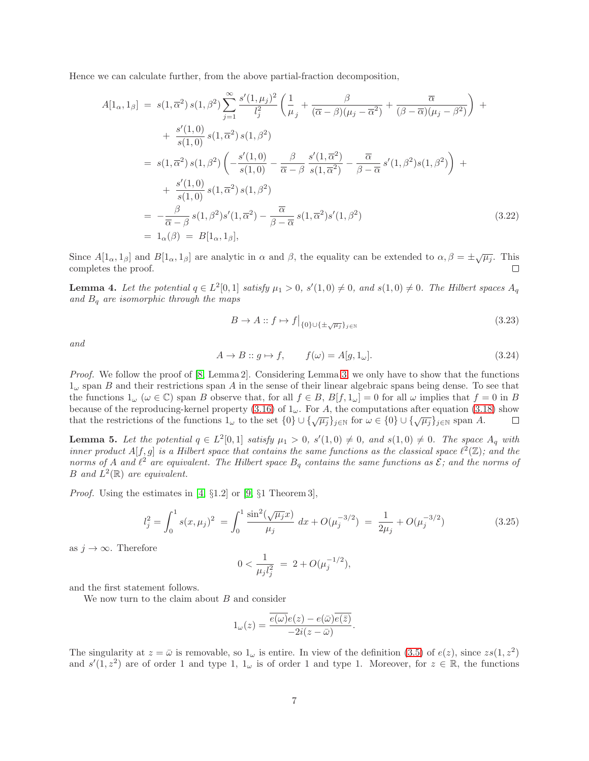Hence we can calculate further, from the above partial-fraction decomposition,

$$
A[1_{\alpha}, 1_{\beta}] = s(1, \overline{\alpha}^{2}) s(1, \beta^{2}) \sum_{j=1}^{\infty} \frac{s'(1, \mu_{j})^{2}}{l_{j}^{2}} \left( \frac{1}{\mu_{j}} + \frac{\beta}{(\overline{\alpha} - \beta)(\mu_{j} - \overline{\alpha}^{2})} + \frac{\overline{\alpha}}{(\beta - \overline{\alpha})(\mu_{j} - \beta^{2})} \right) +
$$
  
+ 
$$
\frac{s'(1, 0)}{s(1, 0)} s(1, \overline{\alpha}^{2}) s(1, \beta^{2})
$$
  
= 
$$
s(1, \overline{\alpha}^{2}) s(1, \beta^{2}) \left( -\frac{s'(1, 0)}{s(1, 0)} - \frac{\beta}{\overline{\alpha} - \beta} \frac{s'(1, \overline{\alpha}^{2})}{s(1, \overline{\alpha}^{2})} - \frac{\overline{\alpha}}{\beta - \overline{\alpha}} s'(1, \beta^{2}) s(1, \beta^{2}) \right) +
$$
  
+ 
$$
\frac{s'(1, 0)}{s(1, 0)} s(1, \overline{\alpha}^{2}) s(1, \beta^{2})
$$
  
= 
$$
-\frac{\beta}{\overline{\alpha} - \beta} s(1, \beta^{2}) s'(1, \overline{\alpha}^{2}) - \frac{\overline{\alpha}}{\beta - \overline{\alpha}} s(1, \overline{\alpha}^{2}) s'(1, \beta^{2})
$$
  
= 
$$
1_{\alpha}(\beta) = B[1_{\alpha}, 1_{\beta}], \qquad (3.22)
$$

Since  $A[1_\alpha, 1_\beta]$  and  $B[1_\alpha, 1_\beta]$  are analytic in  $\alpha$  and  $\beta$ , the equality can be extended to  $\alpha, \beta = \pm \sqrt{\mu_j}$ . This completes the proof.  $\Box$ 

**Lemma 4.** Let the potential  $q \in L^2[0,1]$  satisfy  $\mu_1 > 0$ ,  $s'(1,0) \neq 0$ , and  $s(1,0) \neq 0$ . The Hilbert spaces  $A_q$ and  $B_q$  are isomorphic through the maps

$$
B \to A :: f \mapsto f \big|_{\{0\} \cup \{\pm \sqrt{\mu_j}\}_{j \in \mathbb{N}}} \tag{3.23}
$$

and

$$
A \to B :: g \mapsto f, \qquad f(\omega) = A[g, 1_{\omega}]. \tag{3.24}
$$

Proof. We follow the proof of [8, Lemma 2]. Considering Lemma 3, we only have to show that the functions  $1_{\omega}$  span B and their restrictions span A in the sense of their linear algebraic spans being dense. To see that the functions  $1_{\omega}$  ( $\omega \in \mathbb{C}$ ) span B observe that, for all  $f \in B$ ,  $B[f, 1_{\omega}] = 0$  for all  $\omega$  implies that  $f = 0$  in B because of the reproducing-kernel property (3.16) of  $1<sub>\omega</sub>$ . For A, the computations after equation (3.18) show that the restrictions of the functions  $1_{\omega}$  to the set  $\{0\} \cup \{\sqrt{\mu_j}\}_{j\in\mathbb{N}}$  for  $\omega \in \{0\} \cup \{\sqrt{\mu_j}\}_{j\in\mathbb{N}}$  span A.  $\Box$ 

**Lemma 5.** Let the potential  $q \in L^2[0,1]$  satisfy  $\mu_1 > 0$ ,  $s'(1,0) \neq 0$ , and  $s(1,0) \neq 0$ . The space  $A_q$  with inner product  $A[f,g]$  is a Hilbert space that contains the same functions as the classical space  $\ell^2(\mathbb{Z})$ ; and the norms of A and  $\ell^2$  are equivalent. The Hilbert space  $B_q$  contains the same functions as  $\mathcal{E}$ ; and the norms of B and  $L^2(\mathbb{R})$  are equivalent.

*Proof.* Using the estimates in [4,  $\S1.2$ ] or [9,  $\S1$  Theorem 3],

$$
l_j^2 = \int_0^1 s(x, \mu_j)^2 = \int_0^1 \frac{\sin^2(\sqrt{\mu_j}x)}{\mu_j} dx + O(\mu_j^{-3/2}) = \frac{1}{2\mu_j} + O(\mu_j^{-3/2})
$$
(3.25)

as  $j \to \infty$ . Therefore

$$
0 < \frac{1}{\mu_j l_j^2} = 2 + O(\mu_j^{-1/2}),
$$

and the first statement follows.

We now turn to the claim about  $B$  and consider

$$
1_{\omega}(z) = \frac{\overline{e(\omega)}e(z) - e(\overline{\omega})\overline{e(\overline{z})}}{-2i(z - \overline{\omega})}.
$$

The singularity at  $z = \bar{\omega}$  is removable, so  $1_{\omega}$  is entire. In view of the definition (3.5) of  $e(z)$ , since  $zs(1, z^2)$ and  $s'(1, z^2)$  are of order 1 and type 1,  $1_{\omega}$  is of order 1 and type 1. Moreover, for  $z \in \mathbb{R}$ , the functions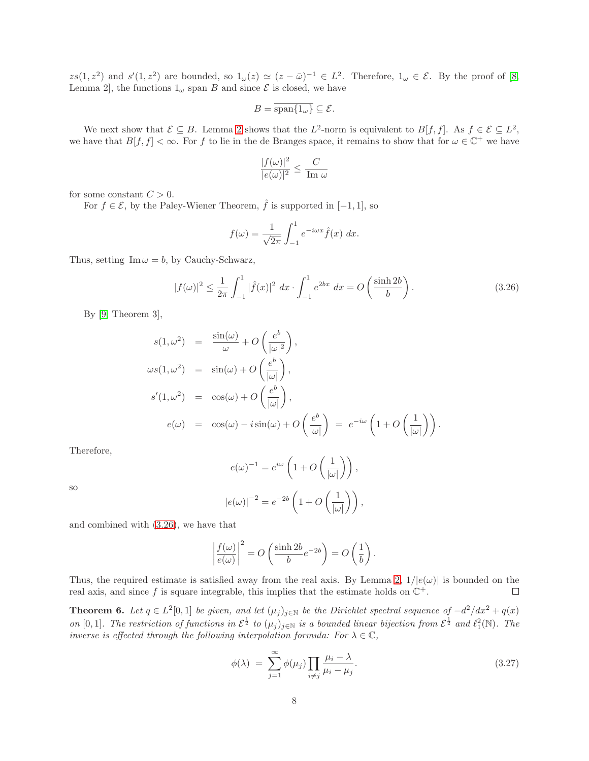$zs(1, z^2)$  and  $s'(1, z^2)$  are bounded, so  $1_{\omega}(z) \simeq (z - \bar{\omega})^{-1} \in L^2$ . Therefore,  $1_{\omega} \in \mathcal{E}$ . By the proof of [8, Lemma 2, the functions  $1_{\omega}$  span B and since  $\mathcal{E}$  is closed, we have

$$
B = \overline{\operatorname{span}\{1_{\omega}\}} \subseteq \mathcal{E}.
$$

We next show that  $\mathcal{E} \subseteq B$ . Lemma 2 shows that the  $L^2$ -norm is equivalent to  $B[f, f]$ . As  $f \in \mathcal{E} \subseteq L^2$ , we have that  $B[f, f] < \infty$ . For f to lie in the de Branges space, it remains to show that for  $\omega \in \mathbb{C}^+$  we have

$$
\frac{|f(\omega)|^2}{|e(\omega)|^2} \leq \frac{C}{\text{Im }\omega}
$$

for some constant  $C > 0$ .

For  $f \in \mathcal{E}$ , by the Paley-Wiener Theorem,  $\hat{f}$  is supported in  $[-1, 1]$ , so

$$
f(\omega) = \frac{1}{\sqrt{2\pi}} \int_{-1}^{1} e^{-i\omega x} \hat{f}(x) dx.
$$

Thus, setting  $\text{Im}\,\omega = b$ , by Cauchy-Schwarz,

$$
|f(\omega)|^2 \le \frac{1}{2\pi} \int_{-1}^1 |\hat{f}(x)|^2 \, dx \cdot \int_{-1}^1 e^{2bx} \, dx = O\left(\frac{\sinh 2b}{b}\right). \tag{3.26}
$$

By [9, Theorem 3],

$$
s(1, \omega^2) = \frac{\sin(\omega)}{\omega} + O\left(\frac{e^b}{|\omega|^2}\right),
$$
  
\n
$$
\omega s(1, \omega^2) = \sin(\omega) + O\left(\frac{e^b}{|\omega|}\right),
$$
  
\n
$$
s'(1, \omega^2) = \cos(\omega) + O\left(\frac{e^b}{|\omega|}\right),
$$
  
\n
$$
e(\omega) = \cos(\omega) - i\sin(\omega) + O\left(\frac{e^b}{|\omega|}\right) = e^{-i\omega} \left(1 + O\left(\frac{1}{|\omega|}\right)\right).
$$

Therefore,

$$
e(\omega)^{-1} = e^{i\omega} \left( 1 + O\left(\frac{1}{|\omega|}\right) \right),
$$
  

$$
|e(\omega)|^{-2} = e^{-2b} \left( 1 + O\left(\frac{1}{|\omega|}\right) \right),
$$

 $|\omega|$ 

so

and combined with (3.26), we have that

$$
\left| \frac{f(\omega)}{e(\omega)} \right|^2 = O\left( \frac{\sinh 2b}{b} e^{-2b} \right) = O\left( \frac{1}{b} \right)
$$

Thus, the required estimate is satisfied away from the real axis. By Lemma 2,  $1/|e(\omega)|$  is bounded on the real axis, and since f is square integrable, this implies that the estimate holds on  $\mathbb{C}^+$ . real axis, and since f is square integrable, this implies that the estimate holds on  $\mathbb{C}^+$ .

**Theorem 6.** Let  $q \in L^2[0,1]$  be given, and let  $(\mu_j)_{j\in\mathbb{N}}$  be the Dirichlet spectral sequence of  $-d^2/dx^2 + q(x)$ on [0,1]. The restriction of functions in  $\mathcal{E}^{\frac{1}{2}}$  to  $(\mu_j)_{j\in\mathbb{N}}$  is a bounded linear bijection from  $\mathcal{E}^{\frac{1}{2}}$  and  $\ell_1^2(\mathbb{N})$ . The inverse is effected through the following interpolation formula: For  $\lambda \in \mathbb{C}$ ,

$$
\phi(\lambda) = \sum_{j=1}^{\infty} \phi(\mu_j) \prod_{i \neq j} \frac{\mu_i - \lambda}{\mu_i - \mu_j}.
$$
\n(3.27)

.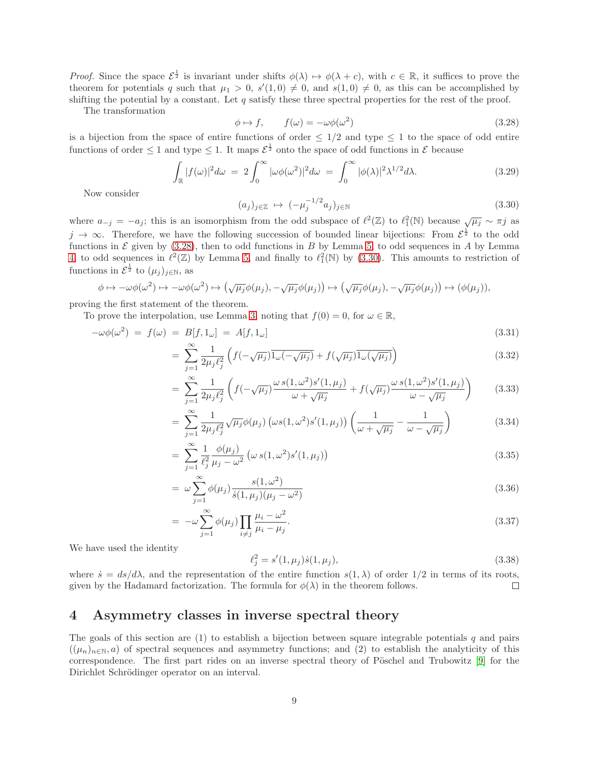*Proof.* Since the space  $\mathcal{E}^{\frac{1}{2}}$  is invariant under shifts  $\phi(\lambda) \mapsto \phi(\lambda + c)$ , with  $c \in \mathbb{R}$ , it suffices to prove the theorem for potentials q such that  $\mu_1 > 0$ ,  $s'(1,0) \neq 0$ , and  $s(1,0) \neq 0$ , as this can be accomplished by shifting the potential by a constant. Let  $q$  satisfy these three spectral properties for the rest of the proof.

The transformation

$$
\phi \mapsto f, \qquad f(\omega) = -\omega \phi(\omega^2) \tag{3.28}
$$

is a bijection from the space of entire functions of order  $\leq 1/2$  and type  $\leq 1$  to the space of odd entire functions of order  $\leq 1$  and type  $\leq 1$ . It maps  $\mathcal{E}^{\frac{1}{2}}$  onto the space of odd functions in  $\mathcal{E}$  because

$$
\int_{\mathbb{R}} |f(\omega)|^2 d\omega = 2 \int_0^{\infty} |\omega \phi(\omega^2)|^2 d\omega = \int_0^{\infty} |\phi(\lambda)|^2 \lambda^{1/2} d\lambda.
$$
 (3.29)

Now consider

$$
(a_j)_{j \in \mathbb{Z}} \mapsto (-\mu_j^{-1/2} a_j)_{j \in \mathbb{N}} \tag{3.30}
$$

where  $a_{-j} = -a_j$ ; this is an isomorphism from the odd subspace of  $\ell^2(\mathbb{Z})$  to  $\ell_1^2(\mathbb{N})$  because  $\sqrt{\mu_j} \sim \pi j$  as  $j \to \infty$ . Therefore, we have the following succession of bounded linear bijections: From  $\mathcal{E}^{\frac{1}{2}}$  to the odd functions in  $\mathcal E$  given by (3.28), then to odd functions in B by Lemma 5, to odd sequences in A by Lemma 4, to odd sequences in  $\ell^2(\mathbb{Z})$  by Lemma 5, and finally to  $\ell_1^2(\mathbb{N})$  by (3.30). This amounts to restriction of functions in  $\mathcal{E}^{\frac{1}{2}}$  to  $(\mu_j)_{j\in\mathbb{N}}$ , as

$$
\phi \mapsto -\omega\phi(\omega^2) \mapsto -\omega\phi(\omega^2) \mapsto (\sqrt{\mu_j}\phi(\mu_j), -\sqrt{\mu_j}\phi(\mu_j)) \mapsto (\sqrt{\mu_j}\phi(\mu_j), -\sqrt{\mu_j}\phi(\mu_j)) \mapsto (\phi(\mu_j)),
$$

proving the first statement of the theorem.

To prove the interpolation, use Lemma 3, noting that  $f(0) = 0$ , for  $\omega \in \mathbb{R}$ ,

$$
-\omega\phi(\omega^2) = f(\omega) = B[f, 1_{\omega}] = A[f, 1_{\omega}]
$$
\n
$$
= \sum_{n=-\infty}^{\infty} \frac{1}{\sqrt{1-\sqrt{\mu_1}}}\left(f(-\sqrt{\mu_1})\overline{1_{\omega}(-\sqrt{\mu_1})} + f(\sqrt{\mu_1})\overline{1_{\omega}(\sqrt{\mu_1})}\right)
$$
\n(3.32)

$$
= \sum_{j=1}^{I} \frac{1}{2\mu_j \ell_j^2} \left( f(-\sqrt{\mu_j}) 1_{\omega}(-\sqrt{\mu_j}) + f(\sqrt{\mu_j}) 1_{\omega}(\sqrt{\mu_j}) \right)
$$
(3.32)

$$
= \sum_{j=1}^{\infty} \frac{1}{2\mu_j \ell_j^2} \left( f(-\sqrt{\mu_j}) \frac{\omega s(1,\omega^2) s'(1,\mu_j)}{\omega + \sqrt{\mu_j}} + f(\sqrt{\mu_j}) \frac{\omega s(1,\omega^2) s'(1,\mu_j)}{\omega - \sqrt{\mu_j}} \right) \tag{3.33}
$$

$$
= \sum_{j=1}^{\infty} \frac{1}{2\mu_j \ell_j^2} \sqrt{\mu_j} \phi(\mu_j) \left( \omega s(1, \omega^2) s'(1, \mu_j) \right) \left( \frac{1}{\omega + \sqrt{\mu_j}} - \frac{1}{\omega - \sqrt{\mu_j}} \right) \tag{3.34}
$$

$$
= \sum_{j=1}^{\infty} \frac{1}{\ell_j^2} \frac{\phi(\mu_j)}{\mu_j - \omega^2} \left( \omega \, s(1, \omega^2) s'(1, \mu_j) \right) \tag{3.35}
$$

$$
= \omega \sum_{j=1}^{\infty} \phi(\mu_j) \frac{s(1,\omega^2)}{s(1,\mu_j)(\mu_j - \omega^2)} \tag{3.36}
$$

$$
= -\omega \sum_{j=1}^{\infty} \phi(\mu_j) \prod_{i \neq j} \frac{\mu_i - \omega^2}{\mu_i - \mu_j}.
$$
\n(3.37)

We have used the identity

$$
\ell_j^2 = s'(1, \mu_j) \dot{s}(1, \mu_j), \tag{3.38}
$$

where  $\dot{s} = ds/d\lambda$ , and the representation of the entire function  $s(1,\lambda)$  of order  $1/2$  in terms of its roots, given by the Hadamard factorization. The formula for  $\phi(\lambda)$  in the theorem follows.  $\Box$ 

#### 4 Asymmetry classes in inverse spectral theory

The goals of this section are  $(1)$  to establish a bijection between square integrable potentials q and pairs  $((\mu_n)_{n\in\mathbb{N}}, a)$  of spectral sequences and asymmetry functions; and (2) to establish the analyticity of this correspondence. The first part rides on an inverse spectral theory of Pöschel and Trubowitz [9] for the Dirichlet Schrödinger operator on an interval.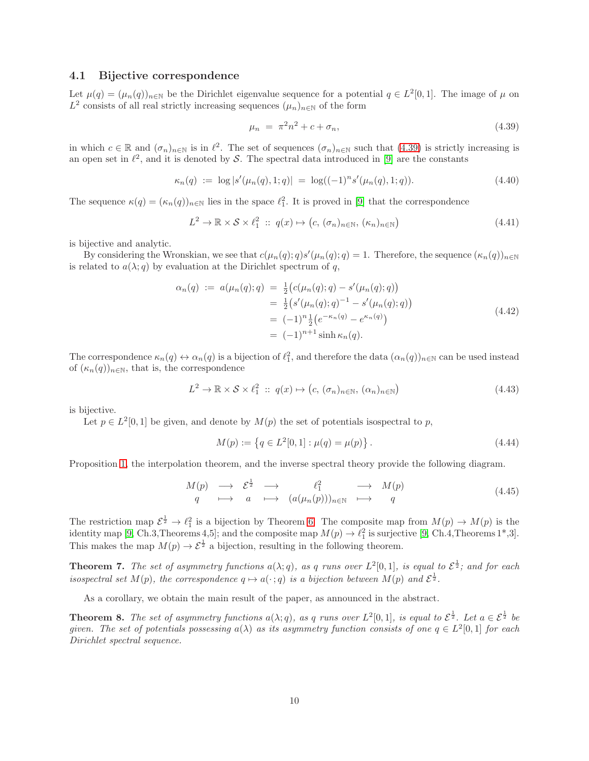#### 4.1 Bijective correspondence

Let  $\mu(q) = (\mu_n(q))_{n \in \mathbb{N}}$  be the Dirichlet eigenvalue sequence for a potential  $q \in L^2[0,1]$ . The image of  $\mu$  on  $L^2$  consists of all real strictly increasing sequences  $(\mu_n)_{n\in\mathbb{N}}$  of the form

$$
\mu_n = \pi^2 n^2 + c + \sigma_n,\tag{4.39}
$$

in which  $c \in \mathbb{R}$  and  $(\sigma_n)_{n \in \mathbb{N}}$  is in  $\ell^2$ . The set of sequences  $(\sigma_n)_{n \in \mathbb{N}}$  such that  $(4.39)$  is strictly increasing is an open set in  $\ell^2$ , and it is denoted by S. The spectral data introduced in [9] are the constants

$$
\kappa_n(q) := \log |s'(\mu_n(q), 1; q)| = \log((-1)^n s'(\mu_n(q), 1; q)). \tag{4.40}
$$

The sequence  $\kappa(q) = (\kappa_n(q))_{n \in \mathbb{N}}$  lies in the space  $\ell_1^2$ . It is proved in [9] that the correspondence

$$
L^2 \to \mathbb{R} \times S \times \ell_1^2 \ :: \ q(x) \mapsto (c, (\sigma_n)_{n \in \mathbb{N}}, (\kappa_n)_{n \in \mathbb{N}})
$$
\n
$$
(4.41)
$$

is bijective and analytic.

By considering the Wronskian, we see that  $c(\mu_n(q); q)s'(\mu_n(q); q) = 1$ . Therefore, the sequence  $(\kappa_n(q))_{n \in \mathbb{N}}$ is related to  $a(\lambda; q)$  by evaluation at the Dirichlet spectrum of q,

$$
\alpha_n(q) := a(\mu_n(q); q) = \frac{1}{2} \big( c(\mu_n(q); q) - s'(\mu_n(q); q) \big) \n= \frac{1}{2} \big( s'(\mu_n(q); q)^{-1} - s'(\mu_n(q); q) \big) \n= (-1)^n \frac{1}{2} \big( e^{-\kappa_n(q)} - e^{\kappa_n(q)} \big) \n= (-1)^{n+1} \sinh \kappa_n(q).
$$
\n(4.42)

The correspondence  $\kappa_n(q) \leftrightarrow \alpha_n(q)$  is a bijection of  $\ell_1^2$ , and therefore the data  $(\alpha_n(q))_{n\in\mathbb{N}}$  can be used instead of  $(\kappa_n(q))_{n\in\mathbb{N}}$ , that is, the correspondence

$$
L^{2} \to \mathbb{R} \times S \times \ell_{1}^{2} :: q(x) \mapsto (c, (\sigma_{n})_{n \in \mathbb{N}}, (\alpha_{n})_{n \in \mathbb{N}})
$$
\n(4.43)

is bijective.

Let  $p \in L^2[0,1]$  be given, and denote by  $M(p)$  the set of potentials isospectral to p,

$$
M(p) := \{ q \in L^{2}[0,1] : \mu(q) = \mu(p) \}.
$$
\n(4.44)

Proposition 1, the interpolation theorem, and the inverse spectral theory provide the following diagram.

$$
\begin{array}{ccccccc}\nM(p) & \longrightarrow & \mathcal{E}^{\frac{1}{2}} & \longrightarrow & \ell_{1}^{2} & \longrightarrow & M(p) \\
q & \longmapsto & a & \longmapsto & (a(\mu_{n}(p)))_{n\in\mathbb{N}} & \longmapsto & q\n\end{array} \tag{4.45}
$$

The restriction map  $\mathcal{E}^{\frac{1}{2}} \to \ell_1^2$  is a bijection by Theorem 6. The composite map from  $M(p) \to M(p)$  is the identity map [9, Ch.3,Theorems 4,5]; and the composite map  $M(p) \to \ell_1^2$  is surjective [9, Ch.4,Theorems 1\*,3]. This makes the map  $M(p) \to \mathcal{E}^{\frac{1}{2}}$  a bijection, resulting in the following theorem.

**Theorem 7.** The set of asymmetry functions  $a(\lambda; q)$ , as q runs over  $L^2[0,1]$ , is equal to  $\mathcal{E}^{\frac{1}{2}}$ ; and for each isospectral set  $M(p)$ , the correspondence  $q \mapsto a(\cdot; q)$  is a bijection between  $M(p)$  and  $\mathcal{E}^{\frac{1}{2}}$ .

As a corollary, we obtain the main result of the paper, as announced in the abstract.

**Theorem 8.** The set of asymmetry functions  $a(\lambda; q)$ , as q runs over  $L^2[0,1]$ , is equal to  $\mathcal{E}^{\frac{1}{2}}$ . Let  $a \in \mathcal{E}^{\frac{1}{2}}$  be given. The set of potentials possessing  $a(\lambda)$  as its asymmetry function consists of one  $q \in L^2[0,1]$  for each Dirichlet spectral sequence.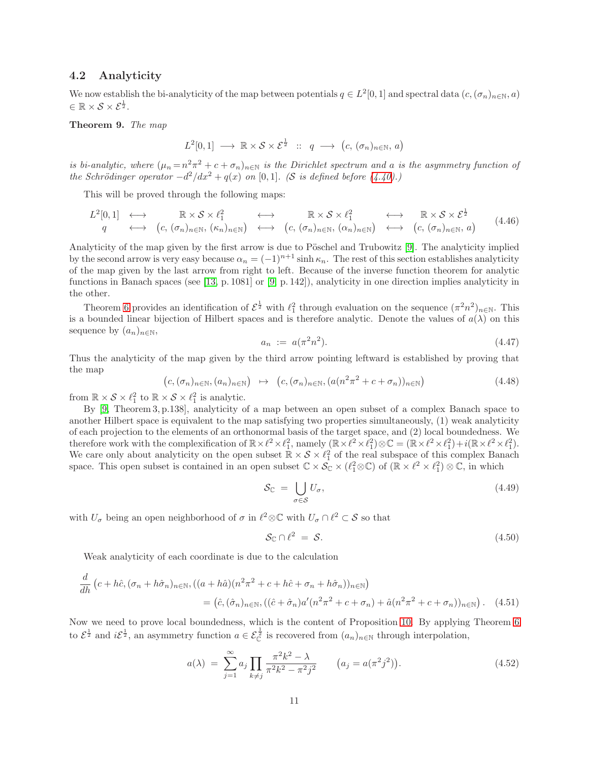#### 4.2 Analyticity

We now establish the bi-analyticity of the map between potentials  $q \in L^2[0,1]$  and spectral data  $(c,(\sigma_n)_{n\in\mathbb{N}},a)$  $\in \mathbb{R} \times S \times \mathcal{E}^{\frac{1}{2}}$ .

#### Theorem 9. The map

$$
L^{2}[0,1] \longrightarrow \mathbb{R} \times S \times \mathcal{E}^{\frac{1}{2}} \ :: \ q \longrightarrow (c, (\sigma_{n})_{n \in \mathbb{N}}, a)
$$

is bi-analytic, where  $(\mu_n = n^2 \pi^2 + c + \sigma_n)_{n \in \mathbb{N}}$  is the Dirichlet spectrum and a is the asymmetry function of the Schrödinger operator  $-d^2/dx^2 + q(x)$  on [0,1]. (S is defined before (4.40).)

This will be proved through the following maps:

$$
L^{2}[0,1] \longleftrightarrow \mathbb{R} \times S \times \ell^{2}_{1} \longleftrightarrow \ell^{2}_{(c, (\sigma_{n})_{n \in \mathbb{N}}, (\kappa_{n})_{n \in \mathbb{N}})} \longleftrightarrow (\kappa, (\sigma_{n})_{n \in \mathbb{N}}, (\alpha_{n})_{n \in \mathbb{N}}, (\alpha_{n})_{n \in \mathbb{N}}) \longleftrightarrow (\kappa, (\sigma_{n})_{n \in \mathbb{N}}, a) \quad (4.46)
$$

Analyticity of the map given by the first arrow is due to Pöschel and Trubowitz [9]. The analyticity implied by the second arrow is very easy because  $\alpha_n = (-1)^{n+1} \sinh \kappa_n$ . The rest of this section establishes analyticity of the map given by the last arrow from right to left. Because of the inverse function theorem for analytic functions in Banach spaces (see [13, p. 1081] or [9, p. 142]), analyticity in one direction implies analyticity in the other.

Theorem 6 provides an identification of  $\mathcal{E}^{\frac{1}{2}}$  with  $\ell_1^2$  through evaluation on the sequence  $(\pi^2 n^2)_{n\in\mathbb{N}}$ . This is a bounded linear bijection of Hilbert spaces and is therefore analytic. Denote the values of  $a(\lambda)$  on this sequence by  $(a_n)_{n\in\mathbb{N}},$ 

$$
a_n := a(\pi^2 n^2). \tag{4.47}
$$

Thus the analyticity of the map given by the third arrow pointing leftward is established by proving that the map

$$
(c, (\sigma_n)_{n \in \mathbb{N}}, (a_n)_{n \in \mathbb{N}}) \rightarrow (c, (\sigma_n)_{n \in \mathbb{N}}, (a(n^2 \pi^2 + c + \sigma_n))_{n \in \mathbb{N}})
$$
(4.48)

from  $\mathbb{R} \times S \times \ell_1^2$  to  $\mathbb{R} \times S \times \ell_1^2$  is analytic.

By [9, Theorem 3, p.138], analyticity of a map between an open subset of a complex Banach space to another Hilbert space is equivalent to the map satisfying two properties simultaneously, (1) weak analyticity of each projection to the elements of an orthonormal basis of the target space, and (2) local boundedness. We therefore work with the complexification of  $\mathbb{R} \times \ell^2 \times \ell_1^2$ , namely  $(\mathbb{R} \times \ell^2 \times \ell_1^2) \otimes \mathbb{C} = (\mathbb{R} \times \ell^2 \times \ell_1^2) + i(\mathbb{R} \times \ell^2 \times \ell_1^2)$ . We care only about analyticity on the open subset  $\mathbb{R} \times S \times \ell_1^2$  of the real subspace of this complex Banach space. This open subset is contained in an open subset  $\mathbb{C} \times \overline{\mathcal{S}}_{\mathbb{C}} \times (\ell_1^2 \otimes \mathbb{C})$  of  $(\mathbb{R} \times \ell^2 \times \ell_1^2) \otimes \mathbb{C}$ , in which

$$
\mathcal{S}_{\mathbb{C}} = \bigcup_{\sigma \in \mathcal{S}} U_{\sigma},\tag{4.49}
$$

with  $U_{\sigma}$  being an open neighborhood of  $\sigma$  in  $\ell^2 \otimes \mathbb{C}$  with  $U_{\sigma} \cap \ell^2 \subset S$  so that

$$
\mathcal{S}_{\mathbb{C}} \cap \ell^2 = \mathcal{S}.\tag{4.50}
$$

Weak analyticity of each coordinate is due to the calculation

$$
\frac{d}{dh} \left( c + h\hat{c}, (\sigma_n + h\hat{\sigma}_n)_{n \in \mathbb{N}}, ((a + h\hat{a})(n^2 \pi^2 + c + h\hat{c} + \sigma_n + h\hat{\sigma}_n))_{n \in \mathbb{N}} \right)
$$
\n
$$
= \left( \hat{c}, (\hat{\sigma}_n)_{n \in \mathbb{N}}, ((\hat{c} + \hat{\sigma}_n) a'(n^2 \pi^2 + c + \sigma_n) + \hat{a}(n^2 \pi^2 + c + \sigma_n))_{n \in \mathbb{N}} \right). \tag{4.51}
$$

Now we need to prove local boundedness, which is the content of Proposition 10. By applying Theorem 6 to  $\mathcal{E}^{\frac{1}{2}}$  and  $i\mathcal{E}^{\frac{1}{2}}$ , an asymmetry function  $a \in \mathcal{E}^{\frac{1}{2}}_{\mathbb{C}}$  is recovered from  $(a_n)_{n \in \mathbb{N}}$  through interpolation,

$$
a(\lambda) = \sum_{j=1}^{\infty} a_j \prod_{k \neq j} \frac{\pi^2 k^2 - \lambda}{\pi^2 k^2 - \pi^2 j^2} \qquad (a_j = a(\pi^2 j^2)).
$$
 (4.52)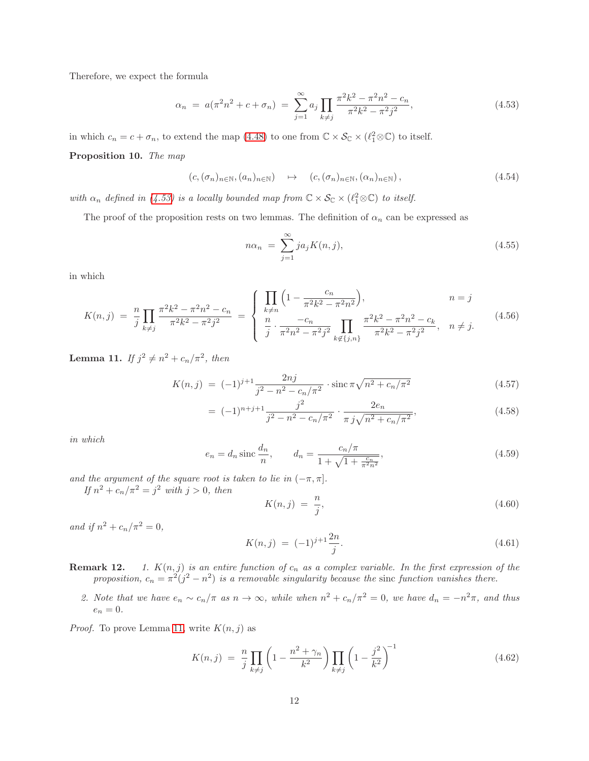Therefore, we expect the formula

$$
\alpha_n = a(\pi^2 n^2 + c + \sigma_n) = \sum_{j=1}^{\infty} a_j \prod_{k \neq j} \frac{\pi^2 k^2 - \pi^2 n^2 - c_n}{\pi^2 k^2 - \pi^2 j^2},
$$
\n(4.53)

in which  $c_n = c + \sigma_n$ , to extend the map (4.48) to one from  $\mathbb{C} \times \mathcal{S}_{\mathbb{C}} \times (\ell_1^2 \otimes \mathbb{C})$  to itself.

Proposition 10. The map

$$
(c, (\sigma_n)_{n \in \mathbb{N}}, (a_n)_{n \in \mathbb{N}}) \rightarrow (c, (\sigma_n)_{n \in \mathbb{N}}, (\alpha_n)_{n \in \mathbb{N}}), \tag{4.54}
$$

with  $\alpha_n$  defined in (4.53) is a locally bounded map from  $\mathbb{C} \times \mathcal{S}_{\mathbb{C}} \times (\ell_1^2 \otimes \mathbb{C})$  to itself.

The proof of the proposition rests on two lemmas. The definition of  $\alpha_n$  can be expressed as

$$
n\alpha_n = \sum_{j=1}^{\infty} ja_j K(n,j), \qquad (4.55)
$$

in which

$$
K(n,j) = \frac{n}{j} \prod_{k \neq j} \frac{\pi^2 k^2 - \pi^2 n^2 - c_n}{\pi^2 k^2 - \pi^2 j^2} = \begin{cases} \prod_{k \neq n} \left( 1 - \frac{c_n}{\pi^2 k^2 - \pi^2 n^2} \right), & n = j\\ \frac{n}{j} \cdot \frac{-c_n}{\pi^2 n^2 - \pi^2 j^2} \prod_{k \notin \{j,n\}} \frac{\pi^2 k^2 - \pi^2 n^2 - c_k}{\pi^2 k^2 - \pi^2 j^2}, & n \neq j. \end{cases}
$$
(4.56)

**Lemma 11.** If  $j^2 \neq n^2 + c_n/\pi^2$ , then

$$
K(n,j) = (-1)^{j+1} \frac{2nj}{j^2 - n^2 - c_n/\pi^2} \cdot \operatorname{sinc} \pi \sqrt{n^2 + c_n/\pi^2}
$$
 (4.57)

$$
= (-1)^{n+j+1} \frac{j^2}{j^2 - n^2 - c_n/\pi^2} \cdot \frac{2e_n}{\pi j \sqrt{n^2 + c_n/\pi^2}},
$$
\n(4.58)

in which

$$
e_n = d_n \operatorname{sinc} \frac{d_n}{n}, \qquad d_n = \frac{c_n/\pi}{1 + \sqrt{1 + \frac{c_n}{\pi^2 n^2}}},\tag{4.59}
$$

and the argument of the square root is taken to lie in  $(-\pi, \pi]$ .

If  $n^2 + c_n/\pi^2 = j^2$  with  $j > 0$ , then

$$
K(n,j) = \frac{n}{j},\tag{4.60}
$$

and if  $n^2 + c_n/\pi^2 = 0$ ,

$$
K(n,j) = (-1)^{j+1} \frac{2n}{j}.
$$
\n(4.61)

**Remark 12.** 1.  $K(n, j)$  is an entire function of  $c_n$  as a complex variable. In the first expression of the proposition,  $c_n = \pi^2(j^2 - n^2)$  is a removable singularity because the sinc function vanishes there.

2. Note that we have  $e_n \sim c_n/\pi$  as  $n \to \infty$ , while when  $n^2 + c_n/\pi^2 = 0$ , we have  $d_n = -n^2\pi$ , and thus  $e_n=0.$ 

*Proof.* To prove Lemma 11, write  $K(n, j)$  as

$$
K(n,j) = \frac{n}{j} \prod_{k \neq j} \left( 1 - \frac{n^2 + \gamma_n}{k^2} \right) \prod_{k \neq j} \left( 1 - \frac{j^2}{k^2} \right)^{-1}
$$
(4.62)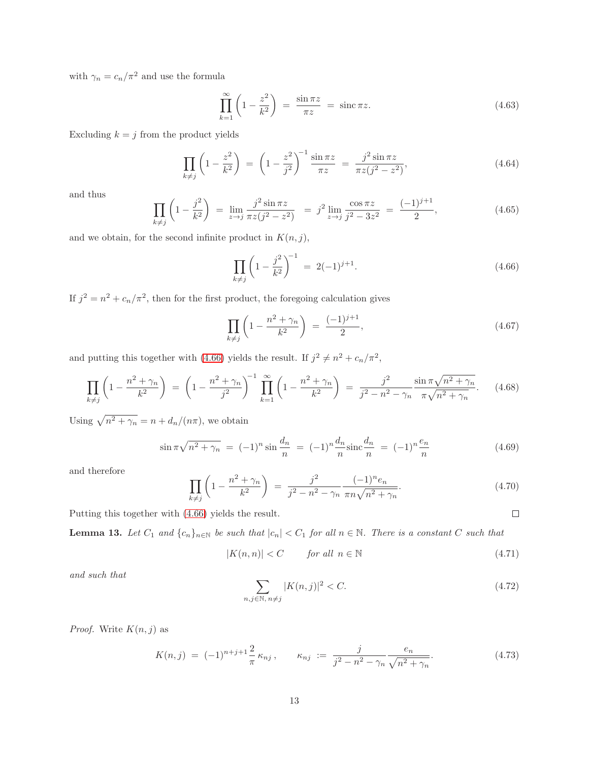with  $\gamma_n = c_n/\pi^2$  and use the formula

$$
\prod_{k=1}^{\infty} \left( 1 - \frac{z^2}{k^2} \right) = \frac{\sin \pi z}{\pi z} = \operatorname{sinc} \pi z.
$$
\n(4.63)

Excluding  $k = j$  from the product yields

$$
\prod_{k \neq j} \left( 1 - \frac{z^2}{k^2} \right) \ = \ \left( 1 - \frac{z^2}{j^2} \right)^{-1} \frac{\sin \pi z}{\pi z} \ = \ \frac{j^2 \sin \pi z}{\pi z (j^2 - z^2)},\tag{4.64}
$$

and thus

$$
\prod_{k \neq j} \left( 1 - \frac{j^2}{k^2} \right) = \lim_{z \to j} \frac{j^2 \sin \pi z}{\pi z (j^2 - z^2)} = j^2 \lim_{z \to j} \frac{\cos \pi z}{j^2 - 3z^2} = \frac{(-1)^{j+1}}{2},
$$
\n(4.65)

and we obtain, for the second infinite product in  $K(n, j)$ ,

$$
\prod_{k \neq j} \left( 1 - \frac{j^2}{k^2} \right)^{-1} = 2(-1)^{j+1}.
$$
\n(4.66)

If  $j^2 = n^2 + c_n/\pi^2$ , then for the first product, the foregoing calculation gives

$$
\prod_{k \neq j} \left( 1 - \frac{n^2 + \gamma_n}{k^2} \right) \ = \ \frac{(-1)^{j+1}}{2},\tag{4.67}
$$

and putting this together with (4.66) yields the result. If  $j^2 \neq n^2 + c_n/\pi^2$ ,

$$
\prod_{k \neq j} \left( 1 - \frac{n^2 + \gamma_n}{k^2} \right) \ = \left( 1 - \frac{n^2 + \gamma_n}{j^2} \right)^{-1} \prod_{k=1}^{\infty} \left( 1 - \frac{n^2 + \gamma_n}{k^2} \right) \ = \ \frac{j^2}{j^2 - n^2 - \gamma_n} \frac{\sin \pi \sqrt{n^2 + \gamma_n}}{\pi \sqrt{n^2 + \gamma_n}}. \tag{4.68}
$$

Using  $\sqrt{n^2 + \gamma_n} = n + d_n/(n\pi)$ , we obtain

$$
\sin \pi \sqrt{n^2 + \gamma_n} = (-1)^n \sin \frac{d_n}{n} = (-1)^n \frac{d_n}{n} \text{sinc} \frac{d_n}{n} = (-1)^n \frac{e_n}{n}
$$
 (4.69)

and therefore

$$
\prod_{k \neq j} \left( 1 - \frac{n^2 + \gamma_n}{k^2} \right) \ = \ \frac{j^2}{j^2 - n^2 - \gamma_n} \frac{(-1)^n e_n}{\pi n \sqrt{n^2 + \gamma_n}}. \tag{4.70}
$$

Putting this together with (4.66) yields the result.

**Lemma 13.** Let  $C_1$  and  $\{c_n\}_{n\in\mathbb{N}}$  be such that  $|c_n| < C_1$  for all  $n \in \mathbb{N}$ . There is a constant C such that

$$
|K(n,n)| < C \qquad \text{for all } n \in \mathbb{N} \tag{4.71}
$$

and such that

$$
\sum_{n,j \in \mathbb{N}, n \neq j} |K(n,j)|^2 < C. \tag{4.72}
$$

*Proof.* Write  $K(n, j)$  as

$$
K(n,j) = (-1)^{n+j+1} \frac{2}{\pi} \kappa_{nj}, \qquad \kappa_{nj} := \frac{j}{j^2 - n^2 - \gamma_n} \frac{e_n}{\sqrt{n^2 + \gamma_n}}.
$$
 (4.73)

 $\Box$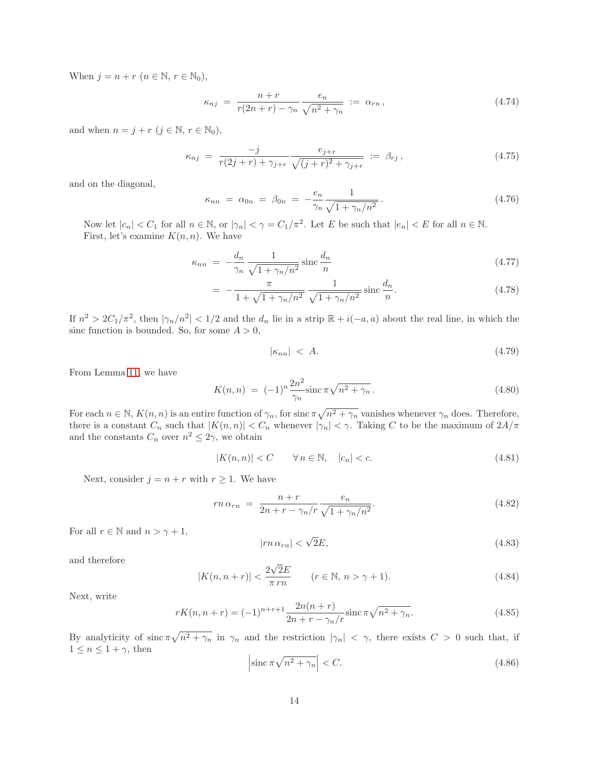When  $j = n + r$   $(n \in \mathbb{N}, r \in \mathbb{N}_0)$ ,

$$
\kappa_{nj} = \frac{n+r}{r(2n+r) - \gamma_n} \frac{e_n}{\sqrt{n^2 + \gamma_n}} := \alpha_{rn}, \qquad (4.74)
$$

and when  $n = j + r$   $(j \in \mathbb{N}, r \in \mathbb{N}_0)$ ,

$$
\kappa_{nj} = \frac{-j}{r(2j+r) + \gamma_{j+r}} \frac{e_{j+r}}{\sqrt{(j+r)^2 + \gamma_{j+r}}} := \beta_{rj}, \qquad (4.75)
$$

and on the diagonal,

$$
\kappa_{nn} = \alpha_{0n} = \beta_{0n} = -\frac{e_n}{\gamma_n} \frac{1}{\sqrt{1 + \gamma_n/n^2}}.
$$
\n(4.76)

Now let  $|c_n| < C_1$  for all  $n \in \mathbb{N}$ , or  $|\gamma_n| < \gamma = C_1/\pi^2$ . Let E be such that  $|e_n| < E$  for all  $n \in \mathbb{N}$ . First, let's examine  $K(n, n)$ . We have

$$
\kappa_{nn} = -\frac{d_n}{\gamma_n} \frac{1}{\sqrt{1 + \gamma_n/n^2}} \operatorname{sinc} \frac{d_n}{n} \tag{4.77}
$$

$$
= -\frac{\pi}{1 + \sqrt{1 + \gamma_n/n^2}} \frac{1}{\sqrt{1 + \gamma_n/n^2}} \operatorname{sinc} \frac{d_n}{n}.
$$
 (4.78)

If  $n^2 > 2C_1/\pi^2$ , then  $|\gamma_n/n^2| < 1/2$  and the  $d_n$  lie in a strip  $\mathbb{R} + i(-a, a)$  about the real line, in which the sinc function is bounded. So, for some  $A > 0$ ,

$$
|\kappa_{nn}| \le A. \tag{4.79}
$$

From Lemma 11, we have

$$
K(n,n) = (-1)^n \frac{2n^2}{\gamma_n} \text{sinc} \,\pi \sqrt{n^2 + \gamma_n} \,. \tag{4.80}
$$

For each  $n \in \mathbb{N}$ ,  $K(n, n)$  is an entire function of  $\gamma_n$ , for sinc  $\pi \sqrt{n^2 + \gamma_n}$  vanishes whenever  $\gamma_n$  does. Therefore, there is a constant  $C_n$  such that  $|K(n, n)| < C_n$  whenever  $|\gamma_n| < \gamma$ . Taking C to be the maximum of  $2A/\pi$ and the constants  $C_n$  over  $n^2 \leq 2\gamma$ , we obtain

$$
|K(n,n)| < C \qquad \forall n \in \mathbb{N}, \quad |c_n| < c. \tag{4.81}
$$

Next, consider  $j = n + r$  with  $r \ge 1$ . We have

$$
rn \alpha_{rn} = \frac{n+r}{2n+r-\gamma_n/r} \frac{e_n}{\sqrt{1+\gamma_n/n^2}}.
$$
\n(4.82)

For all  $r \in \mathbb{N}$  and  $n > \gamma + 1$ ,

$$
|rn \alpha_{rn}| < \sqrt{2}E,\tag{4.83}
$$

and therefore

$$
|K(n,n+r)| < \frac{2\sqrt{2}E}{\pi\,rn} \qquad (r \in \mathbb{N}, n > \gamma + 1). \tag{4.84}
$$

Next, write

$$
rK(n, n+r) = (-1)^{n+r+1} \frac{2n(n+r)}{2n+r - \gamma_n/r} \operatorname{sinc} \pi \sqrt{n^2 + \gamma_n}.
$$
 (4.85)

By analyticity of  $\sin \pi \sqrt{n^2 + \gamma_n}$  in  $\gamma_n$  and the restriction  $|\gamma_n| < \gamma$ , there exists  $C > 0$  such that, if  $1 \leq n \leq 1 + \gamma$ , then

$$
\left|\operatorname{sinc}\pi\sqrt{n^2+\gamma_n}\right| < C.\tag{4.86}
$$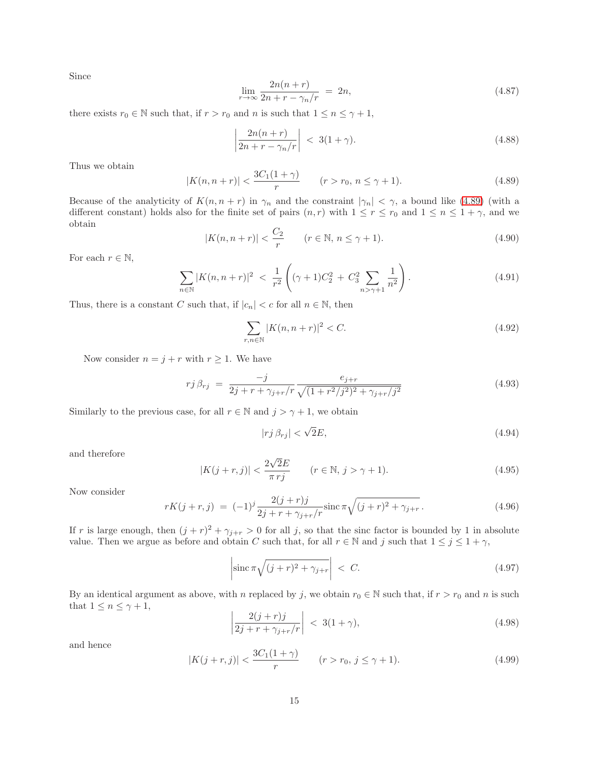Since

$$
\lim_{r \to \infty} \frac{2n(n+r)}{2n+r-\gamma_n/r} = 2n,\tag{4.87}
$$

there exists  $r_0 \in \mathbb{N}$  such that, if  $r > r_0$  and n is such that  $1 \leq n \leq \gamma + 1$ ,

$$
\left|\frac{2n(n+r)}{2n+r-\gamma_n/r}\right| < 3(1+\gamma). \tag{4.88}
$$

Thus we obtain

$$
|K(n, n+r)| < \frac{3C_1(1+\gamma)}{r} \qquad (r > r_0, n \le \gamma + 1). \tag{4.89}
$$

Because of the analyticity of  $K(n, n + r)$  in  $\gamma_n$  and the constraint  $|\gamma_n| < \gamma$ , a bound like (4.89) (with a different constant) holds also for the finite set of pairs  $(n, r)$  with  $1 \le r \le r_0$  and  $1 \le n \le 1 + \gamma$ , and we obtain

$$
|K(n, n+r)| < \frac{C_2}{r} \qquad (r \in \mathbb{N}, \, n \le \gamma + 1). \tag{4.90}
$$

For each  $r \in \mathbb{N}$ ,

$$
\sum_{n \in \mathbb{N}} |K(n, n+r)|^2 < \frac{1}{r^2} \left( (\gamma+1)C_2^2 + C_3^2 \sum_{n > \gamma+1} \frac{1}{n^2} \right). \tag{4.91}
$$

Thus, there is a constant C such that, if  $|c_n| < c$  for all  $n \in \mathbb{N}$ , then

$$
\sum_{r,n \in \mathbb{N}} |K(n, n+r)|^2 < C. \tag{4.92}
$$

Now consider  $n = j + r$  with  $r \ge 1$ . We have

$$
r j \beta_{rj} = \frac{-j}{2j + r + \gamma_{j+r}/r} \frac{e_{j+r}}{\sqrt{(1 + r^2/j^2)^2 + \gamma_{j+r}/j^2}} \tag{4.93}
$$

Similarly to the previous case, for all  $r \in \mathbb{N}$  and  $j > \gamma + 1$ , we obtain

$$
|rj\,\beta_{rj}| < \sqrt{2}E,\tag{4.94}
$$

and therefore

$$
|K(j+r,j)| < \frac{2\sqrt{2}E}{\pi\,r\,j} \qquad (r \in \mathbb{N}, \, j > \gamma + 1). \tag{4.95}
$$

Now consider

$$
rK(j+r,j) = (-1)^j \frac{2(j+r)j}{2j+r+\gamma_{j+r}/r} \operatorname{sinc} \pi \sqrt{(j+r)^2 + \gamma_{j+r}}.
$$
\n(4.96)

If r is large enough, then  $(j + r)^2 + \gamma_{j+r} > 0$  for all j, so that the sinc factor is bounded by 1 in absolute value. Then we argue as before and obtain C such that, for all  $r \in \mathbb{N}$  and j such that  $1 \leq j \leq 1 + \gamma$ ,

$$
\left| \sin \pi \sqrt{(j+r)^2 + \gamma_{j+r}} \right| < C. \tag{4.97}
$$

By an identical argument as above, with n replaced by j, we obtain  $r_0 \in \mathbb{N}$  such that, if  $r > r_0$  and n is such that  $1 \leq n \leq \gamma + 1$ ,

$$
\left|\frac{2(j+r)j}{2j+r+\gamma_{j+r}/r}\right| < 3(1+\gamma),\tag{4.98}
$$

and hence

$$
|K(j+r,j)| < \frac{3C_1(1+\gamma)}{r} \qquad (r > r_0, \, j \le \gamma + 1). \tag{4.99}
$$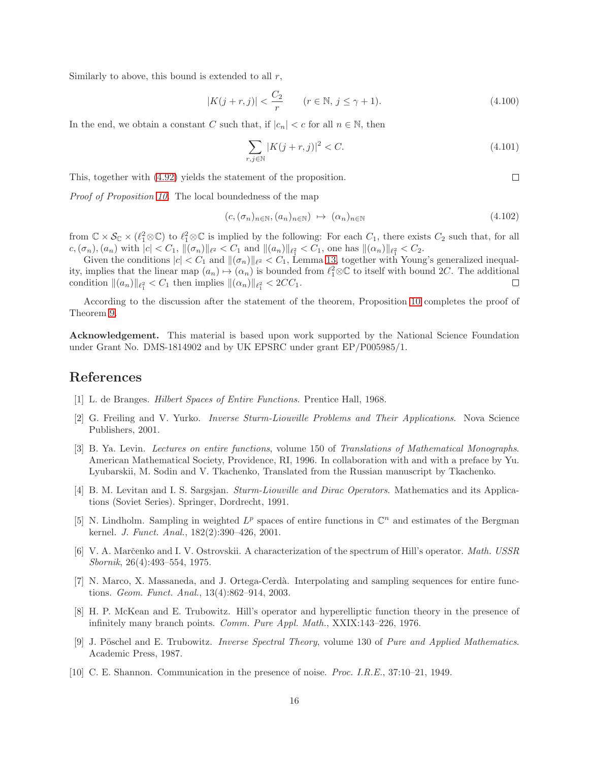Similarly to above, this bound is extended to all  $r$ ,

$$
|K(j+r,j)| < \frac{C_2}{r} \qquad (r \in \mathbb{N}, \, j \le \gamma + 1). \tag{4.100}
$$

In the end, we obtain a constant C such that, if  $|c_n| < c$  for all  $n \in \mathbb{N}$ , then

$$
\sum_{r,j \in \mathbb{N}} |K(j+r,j)|^2 < C. \tag{4.101}
$$

 $\Box$ 

This, together with (4.92) yields the statement of the proposition.

Proof of Proposition 10. The local boundedness of the map

$$
(c, (\sigma_n)_{n \in \mathbb{N}}, (a_n)_{n \in \mathbb{N}}) \mapsto (\alpha_n)_{n \in \mathbb{N}}
$$
\n
$$
(4.102)
$$

from  $\mathbb{C} \times \mathcal{S}_{\mathbb{C}} \times (\ell_1^2 \otimes \mathbb{C})$  to  $\ell_1^2 \otimes \mathbb{C}$  is implied by the following: For each  $C_1$ , there exists  $C_2$  such that, for all  $c,(\sigma_n),(a_n)$  with  $|c| < C_1$ ,  $\|(\sigma_n)\|_{\ell^2} < C_1$  and  $\|(a_n)\|_{\ell^2_1} < C_1$ , one has  $\|(\alpha_n)\|_{\ell^2_1} < C_2$ .

Given the conditions  $|c| < C_1$  and  $\|(\sigma_n)\|_{\ell^2} < C_1$ , Lemma 13, together with Young's generalized inequality, implies that the linear map  $(a_n) \mapsto (\alpha_n)$  is bounded from  $\ell_1^2 \otimes \mathbb{C}$  to itself with bound 2C. The additional condition  $||(a_n)||_{\ell_1^2} < C_1$  then implies  $||(a_n)||_{\ell_1^2} < 2CC_1$ .

According to the discussion after the statement of the theorem, Proposition 10 completes the proof of Theorem 9.

Acknowledgement. This material is based upon work supported by the National Science Foundation under Grant No. DMS-1814902 and by UK EPSRC under grant EP/P005985/1.

#### References

- [1] L. de Branges. Hilbert Spaces of Entire Functions. Prentice Hall, 1968.
- [2] G. Freiling and V. Yurko. Inverse Sturm-Liouville Problems and Their Applications. Nova Science Publishers, 2001.
- [3] B. Ya. Levin. Lectures on entire functions, volume 150 of Translations of Mathematical Monographs. American Mathematical Society, Providence, RI, 1996. In collaboration with and with a preface by Yu. Lyubarskii, M. Sodin and V. Tkachenko, Translated from the Russian manuscript by Tkachenko.
- [4] B. M. Levitan and I. S. Sargsjan. Sturm-Liouville and Dirac Operators. Mathematics and its Applications (Soviet Series). Springer, Dordrecht, 1991.
- [5] N. Lindholm. Sampling in weighted  $L^p$  spaces of entire functions in  $\mathbb{C}^n$  and estimates of the Bergman kernel. J. Funct. Anal., 182(2):390–426, 2001.
- [6] V. A. Marčenko and I. V. Ostrovskii. A characterization of the spectrum of Hill's operator. Math. USSR Sbornik, 26(4):493–554, 1975.
- [7] N. Marco, X. Massaneda, and J. Ortega-Cerdà. Interpolating and sampling sequences for entire functions. Geom. Funct. Anal., 13(4):862–914, 2003.
- [8] H. P. McKean and E. Trubowitz. Hill's operator and hyperelliptic function theory in the presence of infinitely many branch points. Comm. Pure Appl. Math., XXIX:143–226, 1976.
- [9] J. Pöschel and E. Trubowitz. *Inverse Spectral Theory*, volume 130 of *Pure and Applied Mathematics*. Academic Press, 1987.
- [10] C. E. Shannon. Communication in the presence of noise. Proc. I.R.E., 37:10–21, 1949.